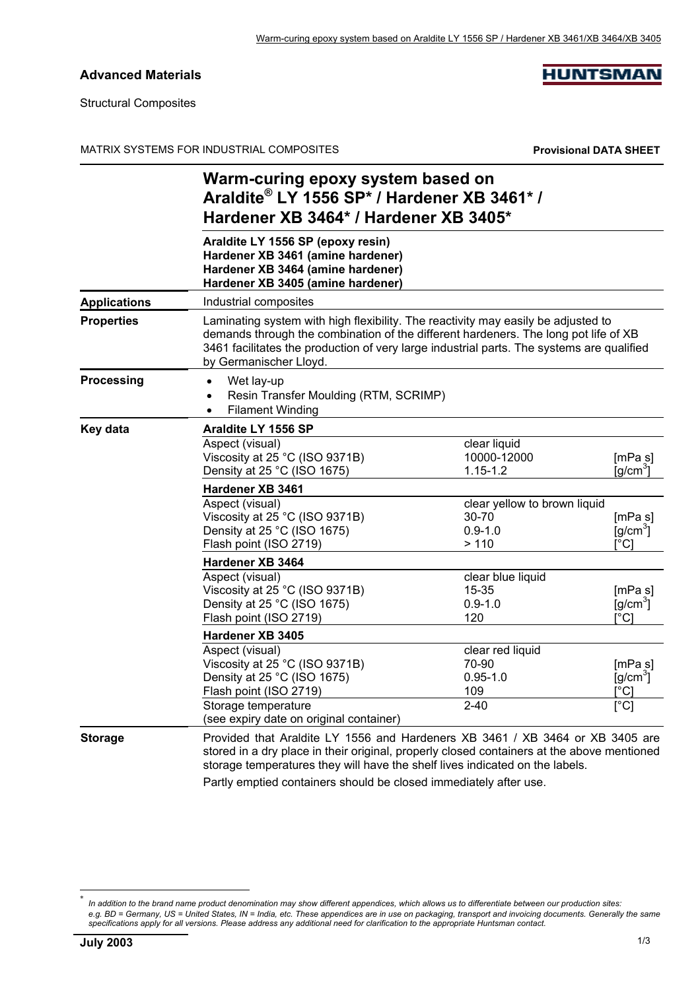## **Advanced Materials**

**HUNTSMAN** 

Structural Composites

MATRIX SYSTEMS FOR INDUSTRIAL COMPOSITES **Provisional DATA SHEET**

|                     | Warm-curing epoxy system based on<br>Araldite® LY 1556 SP* / Hardener XB 3461* /<br>Hardener XB 3464* / Hardener XB 3405*                                                                                                                                                                       |                                                               |                                                        |  |  |  |
|---------------------|-------------------------------------------------------------------------------------------------------------------------------------------------------------------------------------------------------------------------------------------------------------------------------------------------|---------------------------------------------------------------|--------------------------------------------------------|--|--|--|
|                     | Araldite LY 1556 SP (epoxy resin)<br>Hardener XB 3461 (amine hardener)<br>Hardener XB 3464 (amine hardener)<br>Hardener XB 3405 (amine hardener)                                                                                                                                                |                                                               |                                                        |  |  |  |
| <b>Applications</b> | Industrial composites                                                                                                                                                                                                                                                                           |                                                               |                                                        |  |  |  |
| <b>Properties</b>   | Laminating system with high flexibility. The reactivity may easily be adjusted to<br>demands through the combination of the different hardeners. The long pot life of XB<br>3461 facilitates the production of very large industrial parts. The systems are qualified<br>by Germanischer Lloyd. |                                                               |                                                        |  |  |  |
| Processing          | Wet lay-up<br>$\bullet$<br>Resin Transfer Moulding (RTM, SCRIMP)<br><b>Filament Winding</b><br>$\bullet$                                                                                                                                                                                        |                                                               |                                                        |  |  |  |
| <b>Key data</b>     | Araldite LY 1556 SP                                                                                                                                                                                                                                                                             |                                                               |                                                        |  |  |  |
|                     | Aspect (visual)<br>Viscosity at 25 °C (ISO 9371B)<br>Density at 25 °C (ISO 1675)                                                                                                                                                                                                                | clear liquid<br>10000-12000<br>$1.15 - 1.2$                   | [mPa s]<br>[g/cm <sup>3</sup> ]                        |  |  |  |
|                     | Hardener XB 3461                                                                                                                                                                                                                                                                                |                                                               |                                                        |  |  |  |
|                     | Aspect (visual)<br>Viscosity at 25 °C (ISO 9371B)<br>Density at 25 °C (ISO 1675)<br>Flash point (ISO 2719)                                                                                                                                                                                      | clear yellow to brown liquid<br>30-70<br>$0.9 - 1.0$<br>> 110 | [mPa s]<br>$[g/cm^3]$<br>[°C]                          |  |  |  |
|                     | Hardener XB 3464                                                                                                                                                                                                                                                                                |                                                               |                                                        |  |  |  |
|                     | Aspect (visual)<br>Viscosity at 25 °C (ISO 9371B)<br>Density at 25 °C (ISO 1675)<br>Flash point (ISO 2719)                                                                                                                                                                                      | clear blue liquid<br>$15 - 35$<br>$0.9 - 1.0$<br>120          | [mPa s]<br>$\left[\frac{q}{cm^3}\right]$<br>[°C]       |  |  |  |
|                     | Hardener XB 3405                                                                                                                                                                                                                                                                                |                                                               |                                                        |  |  |  |
|                     | Aspect (visual)<br>Viscosity at 25 °C (ISO 9371B)<br>Density at 25 °C (ISO 1675)<br>Flash point (ISO 2719)<br>Storage temperature<br>(see expiry date on original container)                                                                                                                    | clear red liquid<br>70-90<br>$0.95 - 1.0$<br>109<br>$2 - 40$  | [mPa s]<br>$[g/cm^3]$<br>$[^{\circ}C]$<br>$\lceil$ °C] |  |  |  |
| <b>Storage</b>      | Provided that Araldite LY 1556 and Hardeners XB 3461 / XB 3464 or XB 3405 are<br>stored in a dry place in their original, properly closed containers at the above mentioned<br>storage temperatures they will have the shelf lives indicated on the labels.                                     |                                                               |                                                        |  |  |  |

Partly emptied containers should be closed immediately after use.

l

In addition to the brand name product denomination may show different appendices, which allows us to differentiate between our production sites: *e.g. BD = Germany, US = United States, IN = India, etc. These appendices are in use on packaging, transport and invoicing documents. Generally the same specifications apply for all versions. Please address any additional need for clarification to the appropriate Huntsman contact.*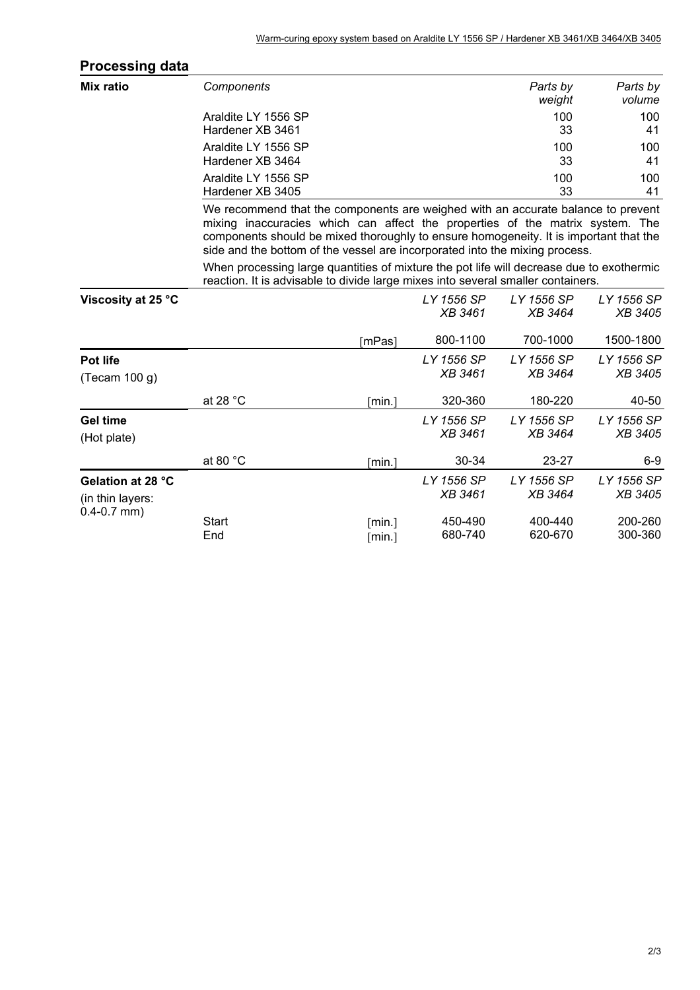| <b>Processing data</b> |                                                                                                                                                                                                                                                                                                                                           |            |                |                |                |
|------------------------|-------------------------------------------------------------------------------------------------------------------------------------------------------------------------------------------------------------------------------------------------------------------------------------------------------------------------------------------|------------|----------------|----------------|----------------|
| Mix ratio              | Components                                                                                                                                                                                                                                                                                                                                |            |                | Parts by       | Parts by       |
|                        |                                                                                                                                                                                                                                                                                                                                           |            |                | weight         | volume         |
|                        | Araldite LY 1556 SP                                                                                                                                                                                                                                                                                                                       |            |                | 100            | 100            |
|                        | Hardener XB 3461                                                                                                                                                                                                                                                                                                                          |            |                | 33             | 41             |
|                        | Araldite LY 1556 SP                                                                                                                                                                                                                                                                                                                       |            |                | 100            | 100            |
|                        | Hardener XB 3464                                                                                                                                                                                                                                                                                                                          |            |                | 33             | 41             |
|                        | Araldite LY 1556 SP                                                                                                                                                                                                                                                                                                                       |            |                | 100            | 100            |
|                        | Hardener XB 3405                                                                                                                                                                                                                                                                                                                          |            |                | 33             | 41             |
|                        | We recommend that the components are weighed with an accurate balance to prevent<br>mixing inaccuracies which can affect the properties of the matrix system. The<br>components should be mixed thoroughly to ensure homogeneity. It is important that the<br>side and the bottom of the vessel are incorporated into the mixing process. |            |                |                |                |
|                        | When processing large quantities of mixture the pot life will decrease due to exothermic<br>reaction. It is advisable to divide large mixes into several smaller containers.                                                                                                                                                              |            |                |                |                |
| Viscosity at 25 °C     |                                                                                                                                                                                                                                                                                                                                           |            | LY 1556 SP     | LY 1556 SP     | LY 1556 SP     |
|                        |                                                                                                                                                                                                                                                                                                                                           |            | <b>XB 3461</b> | <b>XB 3464</b> | XB 3405        |
|                        |                                                                                                                                                                                                                                                                                                                                           | [ $mPas$ ] | 800-1100       | 700-1000       | 1500-1800      |
| Pot life               |                                                                                                                                                                                                                                                                                                                                           |            | LY 1556 SP     | LY 1556 SP     | LY 1556 SP     |
| (Tecam 100 g)          |                                                                                                                                                                                                                                                                                                                                           |            | <b>XB 3461</b> | <b>XB 3464</b> | XB 3405        |
|                        | at 28 °C                                                                                                                                                                                                                                                                                                                                  | [min.]     | 320-360        | 180-220        | 40-50          |
| <b>Gel time</b>        |                                                                                                                                                                                                                                                                                                                                           |            | LY 1556 SP     | LY 1556 SP     | LY 1556 SP     |
| (Hot plate)            |                                                                                                                                                                                                                                                                                                                                           |            | <b>XB 3461</b> | <b>XB 3464</b> | <b>XB 3405</b> |
|                        | at 80 $^{\circ}$ C                                                                                                                                                                                                                                                                                                                        | [min.]     | 30-34          | 23-27          | $6-9$          |
| Gelation at 28 °C      |                                                                                                                                                                                                                                                                                                                                           |            | LY 1556 SP     | LY 1556 SP     | LY 1556 SP     |
| (in thin layers:       |                                                                                                                                                                                                                                                                                                                                           |            | <b>XB 3461</b> | <b>XB 3464</b> | <i>XB</i> 3405 |
| $0.4 - 0.7$ mm)        | <b>Start</b>                                                                                                                                                                                                                                                                                                                              | [min.]     | 450-490        | 400-440        | 200-260        |
|                        | End                                                                                                                                                                                                                                                                                                                                       | [min.]     | 680-740        | 620-670        | 300-360        |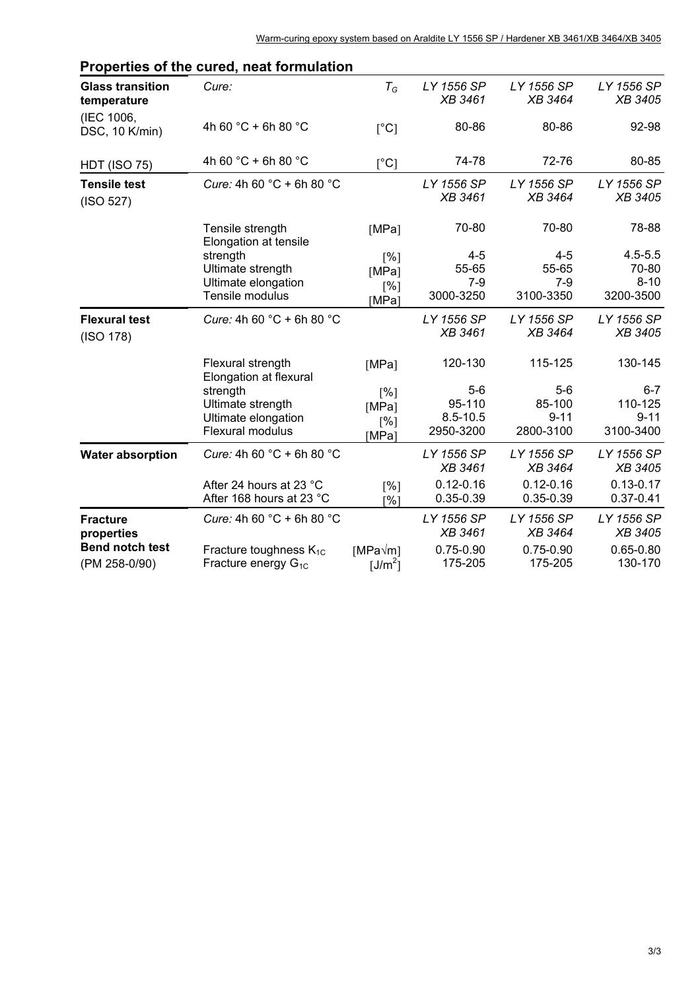|                                         | r ropernes or the cured, heat formulation               |                                |                                |                                |                                |
|-----------------------------------------|---------------------------------------------------------|--------------------------------|--------------------------------|--------------------------------|--------------------------------|
| <b>Glass transition</b><br>temperature  | Cure:                                                   | $T_G$                          | LY 1556 SP<br><b>XB 3461</b>   | LY 1556 SP<br><b>XB 3464</b>   | LY 1556 SP<br>XB 3405          |
| (IEC 1006,<br>DSC, 10 K/min)            | 4h 60 °C + 6h 80 °C                                     | $\lceil$ °C]                   | 80-86                          | 80-86                          | 92-98                          |
| <b>HDT (ISO 75)</b>                     | 4h 60 °C + 6h 80 °C                                     | [°C]                           | 74-78                          | 72-76                          | 80-85                          |
| <b>Tensile test</b><br>(ISO 527)        | Cure: 4h 60 $^{\circ}$ C + 6h 80 $^{\circ}$ C           |                                | LY 1556 SP<br><b>XB 3461</b>   | LY 1556 SP<br><b>XB 3464</b>   | LY 1556 SP<br>XB 3405          |
|                                         | Tensile strength<br>Elongation at tensile               | [MPa]                          | 70-80                          | 70-80                          | 78-88                          |
|                                         | strength                                                | $\lceil\% \rceil$              | $4 - 5$                        | $4 - 5$                        | $4.5 - 5.5$                    |
|                                         | Ultimate strength                                       | [MPa]                          | 55-65                          | 55-65                          | 70-80                          |
|                                         | Ultimate elongation<br>Tensile modulus                  | [%]<br>[MPa]                   | $7 - 9$<br>3000-3250           | $7 - 9$<br>3100-3350           | $8 - 10$<br>3200-3500          |
| <b>Flexural test</b><br>(ISO 178)       | Cure: 4h 60 $^{\circ}$ C + 6h 80 $^{\circ}$ C           |                                | LY 1556 SP<br><b>XB 3461</b>   | LY 1556 SP<br><b>XB 3464</b>   | LY 1556 SP<br>XB 3405          |
|                                         | Flexural strength<br>Elongation at flexural             | [MPa]                          | 120-130                        | 115-125                        | 130-145                        |
|                                         | strength                                                | [%]                            | $5-6$                          | $5-6$                          | $6 - 7$                        |
|                                         | Ultimate strength                                       | [MPa]                          | 95-110                         | 85-100                         | 110-125                        |
|                                         | Ultimate elongation<br>Flexural modulus                 | [%]<br>[MPa]                   | $8.5 - 10.5$<br>2950-3200      | $9 - 11$<br>2800-3100          | $9 - 11$<br>3100-3400          |
| <b>Water absorption</b>                 | Cure: 4h 60 $^{\circ}$ C + 6h 80 $^{\circ}$ C           |                                | LY 1556 SP<br><b>XB 3461</b>   | LY 1556 SP<br><b>XB 3464</b>   | LY 1556 SP<br>XB 3405          |
|                                         | After 24 hours at 23 °C<br>After 168 hours at 23 °C     | [%]<br>[%]                     | $0.12 - 0.16$<br>$0.35 - 0.39$ | $0.12 - 0.16$<br>$0.35 - 0.39$ | $0.13 - 0.17$<br>$0.37 - 0.41$ |
| <b>Fracture</b><br>properties           | Cure: 4h 60 $^{\circ}$ C + 6h 80 $^{\circ}$ C           |                                | LY 1556 SP<br><b>XB 3461</b>   | LY 1556 SP<br><b>XB 3464</b>   | LY 1556 SP<br>XB 3405          |
| <b>Bend notch test</b><br>(PM 258-0/90) | Fracture toughness $K_{1C}$<br>Fracture energy $G_{1C}$ | $[MPa\sqrt{m}]$<br>[ $J/m^2$ ] | $0.75 - 0.90$<br>175-205       | $0.75 - 0.90$<br>175-205       | $0.65 - 0.80$<br>130-170       |

## **Properties of the cured, neat formulation**